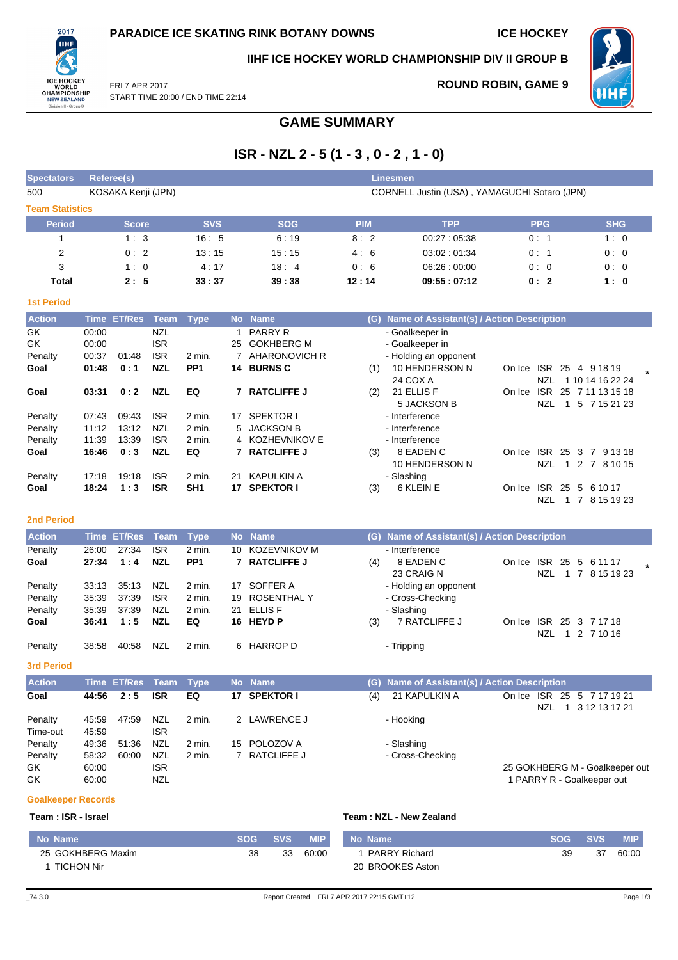**ROUND ROBIN, GAME 9**



**IIHF ICE HOCKEY WORLD CHAMPIONSHIP DIV II GROUP B**



NZL 1 7 8 15 19 23

FRI 7 APR 2017 START TIME 20:00 / END TIME 22:14

## **GAME SUMMARY**

# **ISR - NZL 2 - 5 (1 - 3 , 0 - 2 , 1 - 0)**

| <b>Spectators</b>      |                    |            |                                              |            |             |            |            |  |  |  |  |
|------------------------|--------------------|------------|----------------------------------------------|------------|-------------|------------|------------|--|--|--|--|
| 500                    | KOSAKA Kenji (JPN) |            | CORNELL Justin (USA), YAMAGUCHI Sotaro (JPN) |            |             |            |            |  |  |  |  |
| <b>Team Statistics</b> |                    |            |                                              |            |             |            |            |  |  |  |  |
| <b>Period</b>          | <b>Score</b>       | <b>SVS</b> | <b>SOG</b>                                   | <b>PIM</b> | <b>TPP</b>  | <b>PPG</b> | <b>SHG</b> |  |  |  |  |
|                        | 1:3                | 16:5       | 6:19                                         | 8:2        | 00:27:05:38 | 0:1        | 1:0        |  |  |  |  |
| $\overline{2}$         | 0:2                | 13:15      | 15:15                                        | 4:6        | 03.02:01.34 | 0:1        | 0:0        |  |  |  |  |
| 3                      | 1:0                | 4:17       | 18:4                                         | 0:6        | 06:26:00:00 | 0:0        | 0:0        |  |  |  |  |
| Total                  | 2:5                | 33:37      | 39:38                                        | 12:14      | 09:55:07:12 | 0:2        | 1:0        |  |  |  |  |
| <b>1st Period</b>      |                    |            |                                              |            |             |            |            |  |  |  |  |

| <b>Action</b> |       | Time ET/Res | Team       | Type              | <b>No</b> | <b>Name</b>          | Name of Assistant(s) / Action Description<br>(G)                                 |  |
|---------------|-------|-------------|------------|-------------------|-----------|----------------------|----------------------------------------------------------------------------------|--|
| GK            | 00:00 |             | <b>NZL</b> |                   |           | <b>PARRY R</b>       | - Goalkeeper in                                                                  |  |
| GK            | 00:00 |             | <b>ISR</b> |                   | 25        | <b>GOKHBERG M</b>    | - Goalkeeper in                                                                  |  |
| Penalty       | 00:37 | 01:48       | <b>ISR</b> | 2 min.            |           | AHARONOVICH R        | - Holding an opponent                                                            |  |
| Goal          | 01:48 | 0:1         | <b>NZL</b> | PP <sub>1</sub>   | 14.       | <b>BURNS C</b>       | 10 HENDERSON N<br>4 9 18 19<br>(1)<br>ISR.<br>-25<br>On Ice                      |  |
|               |       |             |            |                   |           |                      | 24 COX A<br>NZL<br>1 10 14 16 22 24                                              |  |
| Goal          | 03:31 | 0:2         | <b>NZL</b> | EQ                |           | <b>7 RATCLIFFE J</b> | 21 ELLIS F<br>ISR.<br>(2)<br>25 7 11 13 15 18<br>On Ice                          |  |
|               |       |             |            |                   |           |                      | 5 JACKSON B<br>NZL<br>5 7 15 21 23                                               |  |
| Penalty       | 07:43 | 09:43       | <b>ISR</b> | $2 \text{ min}$ . | 17        | SPEKTOR I            | - Interference                                                                   |  |
| Penalty       | 11:12 | 13:12       | <b>NZL</b> | $2$ min.          |           | 5 JACKSON B          | - Interference                                                                   |  |
| Penalty       | 11:39 | 13:39       | <b>ISR</b> | $2 \text{ min}$ . |           | 4 KOZHEVNIKOV E      | - Interference                                                                   |  |
| Goal          | 16:46 | 0:3         | <b>NZL</b> | EQ                |           | <b>7 RATCLIFFE J</b> | 8 EADEN C<br><b>ISR</b><br>25<br>3<br>(3)<br>$\overline{7}$<br>9 13 18<br>On Ice |  |
|               |       |             |            |                   |           |                      | 10 HENDERSON N<br>NZL<br>$\overline{7}$<br>8 10 15<br>$1\quad2$                  |  |
| Penalty       | 17:18 | 19:18       | <b>ISR</b> | 2 min.            | 21        | KAPULKIN A           | - Slashing                                                                       |  |
| Goal          | 18:24 | 1:3         | <b>ISR</b> | SH <sub>1</sub>   | 17        | <b>SPEKTOR I</b>     | 6 KLEIN E<br>(3)<br>ISR.<br>25<br>5<br>6 10 17<br>On Ice                         |  |

### **2nd Period**

| <b>Action</b> |       | Time ET/Res Team |            | Type            |     | No Name              |     | (G) Name of Assistant(s) / Action Description |        |     |    |                  |  |
|---------------|-------|------------------|------------|-----------------|-----|----------------------|-----|-----------------------------------------------|--------|-----|----|------------------|--|
| Penalty       | 26:00 | 27:34            | <b>ISR</b> | 2 min.          | 10. | <b>KOZEVNIKOV M</b>  |     | - Interference                                |        |     |    |                  |  |
| Goal          | 27:34 | 1:4              | <b>NZL</b> | PP <sub>1</sub> |     | <b>7 RATCLIFFE J</b> | (4) | 8 EADEN C                                     | On Ice |     |    | ISR 25 5 6 11 17 |  |
|               |       |                  |            |                 |     |                      |     | 23 CRAIG N                                    |        | NZL | -1 | 8 15 19 23       |  |
| Penalty       | 33:13 | 35:13            | NZL        | 2 min.          | 17  | SOFFER A             |     | - Holding an opponent                         |        |     |    |                  |  |
| Penalty       | 35:39 | 37:39            | <b>ISR</b> | 2 min.          |     | 19 ROSENTHAL Y       |     | - Cross-Checking                              |        |     |    |                  |  |
| Penalty       | 35:39 | 37:39            | NZL        | $2$ min.        |     | 21 ELLIS F           |     | - Slashing                                    |        |     |    |                  |  |
| Goal          | 36:41 | 1:5              | <b>NZL</b> | EQ              |     | 16 HEYD P            | (3) | <b>7 RATCLIFFE J</b>                          | On Ice |     |    | ISR 25 3 7 17 18 |  |
|               |       |                  |            |                 |     |                      |     |                                               |        | NZL |    | 1 2 7 10 16      |  |
| Penalty       | 38:58 | 40.58            | <b>NZL</b> | 2 min.          | 6.  | HARROP D             |     | - Tripping                                    |        |     |    |                  |  |

**3rd Period**

| <b>Action</b>       |                | Time ET/Res Team |            | <b>Type</b> | No Name      |     | (G) Name of Assistant(s) / Action Description |                                                    |
|---------------------|----------------|------------------|------------|-------------|--------------|-----|-----------------------------------------------|----------------------------------------------------|
| Goal                | 44:56          | 2:5              | <b>ISR</b> | EQ          | 17 SPEKTOR I | (4) | 21 KAPULKIN A                                 | On Ice ISR 25 5 7 17 19 21<br>3 12 13 17 21<br>NZL |
| Penalty<br>Time-out | 45:59<br>45:59 | 47.59            | NZL<br>ISR | 2 min.      | 2 LAWRENCE J |     | - Hooking                                     |                                                    |
| Penalty             | 49:36          | 51:36            | NZL        | 2 min.      | 15 POLOZOV A |     | - Slashing                                    |                                                    |
| Penalty             | 58:32          | 60:00            | <b>NZL</b> | 2 min.      | RATCLIFFE J  |     | - Cross-Checking                              |                                                    |
| GK.                 | 60:00          |                  | <b>ISR</b> |             |              |     |                                               | 25 GOKHBERG M - Goalkeeper out                     |
| GK                  | 60:00          |                  | <b>NZL</b> |             |              |     |                                               | 1 PARRY R - Goalkeeper out                         |

#### **Goalkeeper Records**

#### **Team : ISR - Israel Team : NZL - New Zealand**

| No Name           | <b>SOG</b> | <b>SVS</b> | <b>MIP</b> | No Name              | <b>SOG</b> | <b>SVS</b> | <b>MIP</b> |
|-------------------|------------|------------|------------|----------------------|------------|------------|------------|
| 25 GOKHBERG Maxim | 38         | 33         | 60:00      | <b>PARRY Richard</b> | 39         | 37         | 60:00      |
| <b>TICHON Nir</b> |            |            |            | 20 BROOKES Aston     |            |            |            |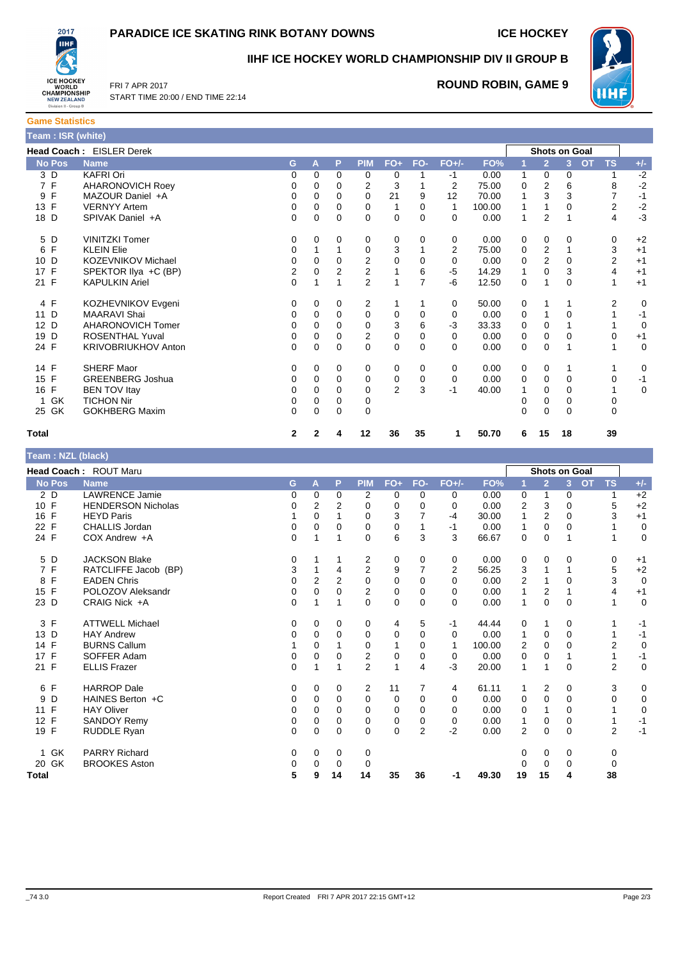### **PARADICE ICE SKATING RINK BOTANY DOWNS ICE HOCKEY**



**IIHF ICE HOCKEY WORLD CHAMPIONSHIP DIV II GROUP B**



FRI 7 APR 2017 START TIME 20:00 / END TIME 22:14

### **ROUND ROBIN, GAME 9**

| <b>Game Statistics</b>          |  |
|---------------------------------|--|
| Team : ISR (white)              |  |
| <b>Head Coach: EISLER Derek</b> |  |

| <b>Head Coach: EISLER Derek</b> |                         |          |          |          |                |                |          |          |        | <b>Shots on Goal</b> |                |    |                 |             |
|---------------------------------|-------------------------|----------|----------|----------|----------------|----------------|----------|----------|--------|----------------------|----------------|----|-----------------|-------------|
| <b>No Pos</b>                   | <b>Name</b>             | G        | A        | P        | <b>PIM</b>     | $FO+$          | FO-      | $FO+/-$  | FO%    |                      | $\overline{2}$ | 3  | OT<br><b>TS</b> | $+/-$       |
| 3 D                             | <b>KAFRI Ori</b>        | 0        | $\Omega$ | $\Omega$ | 0              | 0              |          | $-1$     | 0.00   | 1                    | $\Omega$       | 0  |                 | $-2$        |
| 7 F                             | <b>AHARONOVICH Roey</b> | 0        | 0        | 0        | 2              | 3              |          | 2        | 75.00  | 0                    | 2              | 6  | 8               | $-2$        |
| F<br>9                          | MAZOUR Daniel +A        | 0        | 0        | 0        | 0              | 21             | 9        | 12       | 70.00  |                      | 3              | 3  |                 | $-1$        |
| 13 F                            | <b>VERNYY Artem</b>     | 0        | $\Omega$ | $\Omega$ | 0              | 1              | 0        |          | 100.00 |                      |                | 0  | 2               | $-2$        |
| 18 D                            | SPIVAK Daniel +A        | 0        | $\Omega$ | $\Omega$ | $\Omega$       | 0              | 0        | $\Omega$ | 0.00   | 1                    | 2              |    | 4               | $-3$        |
| 5 D                             | <b>VINITZKI Tomer</b>   | 0        | 0        | 0        | 0              | 0              | 0        | 0        | 0.00   | 0                    | 0              | 0  | 0               | $+2$        |
| $\mathsf{F}$<br>6               | <b>KLEIN Elie</b>       | 0        |          |          | 0              | 3              |          | 2        | 75.00  | 0                    | 2              |    | 3               | $+1$        |
| 10 D                            | KOZEVNIKOV Michael      | $\Omega$ | 0        | 0        | 2              | 0              | 0        | 0        | 0.00   | 0                    | 2              | 0  | 2               | $+1$        |
| 17 F                            | SPEKTOR Ilya +C (BP)    | 2        | $\Omega$ | 2        | $\overline{2}$ |                | 6        | $-5$     | 14.29  | 1                    | $\Omega$       | 3  | 4               | $+1$        |
| 21 F                            | <b>KAPULKIN Ariel</b>   | $\Omega$ |          |          | $\overline{2}$ |                | 7        | -6       | 12.50  | 0                    |                | 0  |                 | $+1$        |
| 4 F                             | KOZHEVNIKOV Evgeni      | 0        | $\Omega$ | 0        | 2              |                |          | 0        | 50.00  | 0                    |                |    | 2               | $\mathbf 0$ |
| 11 D                            | <b>MAARAVI Shai</b>     | 0        | $\Omega$ | 0        | 0              | 0              | 0        | 0        | 0.00   | 0                    |                | 0  |                 | $-1$        |
| 12 D                            | AHARONOVICH Tomer       | 0        | 0        | 0        | 0              | 3              | 6        | $-3$     | 33.33  | 0                    | 0              |    |                 | 0           |
| D<br>19                         | <b>ROSENTHAL Yuval</b>  | 0        | 0        | $\Omega$ | $\overline{2}$ | 0              | 0        | $\Omega$ | 0.00   | 0                    | $\Omega$       | 0  | 0               | $+1$        |
| 24 F                            | KRIVOBRIUKHOV Anton     | 0        | 0        | $\Omega$ | 0              | 0              | 0        | 0        | 0.00   | 0                    | 0              |    |                 | $\mathbf 0$ |
| 14 F                            | <b>SHERF Maor</b>       | 0        | 0        | 0        | 0              | 0              | $\Omega$ | 0        | 0.00   | 0                    | 0              |    |                 | 0           |
| 15 F                            | <b>GREENBERG Joshua</b> | $\Omega$ | 0        | $\Omega$ | 0              | 0              | 0        | 0        | 0.00   | 0                    | $\Omega$       | 0  | 0               | $-1$        |
| $\mathsf{F}$<br>16              | <b>BEN TOV Itay</b>     | 0        | 0        | 0        | 0              | $\overline{2}$ | 3        | $-1$     | 40.00  |                      | 0              | 0  |                 | $\mathbf 0$ |
| GK                              | <b>TICHON Nir</b>       | 0        | 0        | 0        | 0              |                |          |          |        | 0                    | 0              | 0  | 0               |             |
| 25 GK                           | <b>GOKHBERG Maxim</b>   | 0        | $\Omega$ | 0        | 0              |                |          |          |        | 0                    | 0              | 0  | 0               |             |
| <b>Total</b>                    |                         | 2        |          | 4        | 12             | 36             | 35       |          | 50.70  | 6                    | 15             | 18 | 39              |             |

| Team: NZL (black) |                           |             |                |             |                |              |                |                |        |                |                |                      |                        |             |
|-------------------|---------------------------|-------------|----------------|-------------|----------------|--------------|----------------|----------------|--------|----------------|----------------|----------------------|------------------------|-------------|
|                   | Head Coach: ROUT Maru     |             |                |             |                |              |                |                |        |                |                | <b>Shots on Goal</b> |                        |             |
| <b>No Pos</b>     | <b>Name</b>               | G           |                |             | <b>PIM</b>     | $FO+$        | FO-            | $FO+/-$        | FO%    |                |                |                      | <b>OT</b><br><b>TS</b> | $+/-$       |
|                   |                           |             | A              | P           |                |              |                |                |        |                | $\overline{2}$ | 3                    |                        |             |
| 2D                | <b>LAWRENCE Jamie</b>     | 0           | 0              | 0           | 2              | 0            | 0              | 0              | 0.00   | 0              | 1              | 0                    | 1                      | $+2$        |
| 10 F              | <b>HENDERSON Nicholas</b> | 0           | 2              | 2           | $\Omega$       | 0            | 0              | 0              | 0.00   | $\overline{2}$ | 3              | 0                    | 5                      | $+2$        |
| 16 F              | <b>HEYD Paris</b>         |             | 0              | 1           | 0              | 3            | $\overline{7}$ | $-4$           | 30.00  | 1              | $\overline{2}$ | 0                    | 3                      | $+1$        |
| 22 F              | <b>CHALLIS Jordan</b>     | 0           | 0              | 0           | 0              | 0            |                | -1             | 0.00   | 1              | 0              | $\mathbf 0$          |                        | $\mathbf 0$ |
| 24 F              | COX Andrew +A             | $\Omega$    | 1              | 1           | 0              | 6            | 3              | 3              | 66.67  | 0              | 0              | 1                    |                        | $\mathbf 0$ |
| 5 D               | <b>JACKSON Blake</b>      | 0           |                |             | 2              | 0            | 0              | 0              | 0.00   | 0              | 0              | 0                    | 0                      | $+1$        |
| 7 F               | RATCLIFFE Jacob (BP)      | 3           |                | 4           | $\overline{2}$ | 9            | 7              | $\overline{2}$ | 56.25  | 3              |                | 1                    | 5                      | $+2$        |
| $\mathsf{F}$<br>8 | <b>EADEN Chris</b>        | $\Omega$    | $\overline{2}$ | 2           | $\Omega$       | 0            | $\Omega$       | 0              | 0.00   | 2              |                | $\Omega$             | 3                      | $\mathbf 0$ |
| 15 F              | POLOZOV Aleksandr         | 0           | 0              | 0           | $\overline{2}$ | 0            | 0              | 0              | 0.00   | $\mathbf{1}$   | 2              | 1                    | 4                      | $+1$        |
| 23 D              | CRAIG Nick +A             | $\Omega$    |                | 1           | $\Omega$       | $\Omega$     | $\Omega$       | $\Omega$       | 0.00   | 1              | $\Omega$       | $\Omega$             |                        | $\mathbf 0$ |
| 3 F               | <b>ATTWELL Michael</b>    | 0           | 0              | 0           | 0              | 4            | 5              | $-1$           | 44.44  | 0              | 1              | 0                    |                        | $-1$        |
| 13 D              | <b>HAY Andrew</b>         | 0           | 0              | $\Omega$    | 0              | 0            | $\mathbf 0$    | 0              | 0.00   | $\mathbf{1}$   | 0              | $\mathbf 0$          |                        | $-1$        |
| 14 F              | <b>BURNS Callum</b>       |             | 0              |             | 0              | 1            | 0              | 1              | 100.00 | 2              | 0              | 0                    | $\overline{2}$         | $\mathbf 0$ |
| 17 F              | SOFFER Adam               | 0           | 0              | 0           | 2              | 0            | 0              | 0              | 0.00   | 0              | 0              | 1                    | 1                      | $-1$        |
| 21 F              | <b>ELLIS Frazer</b>       | $\mathbf 0$ | 1              | 1           | $\overline{2}$ | $\mathbf{1}$ | 4              | $-3$           | 20.00  | $\mathbf{1}$   | 1              | 0                    | $\overline{2}$         | $\mathbf 0$ |
| 6 F               | <b>HARROP</b> Dale        | 0           | 0              | 0           | 2              | 11           | 7              | 4              | 61.11  | 1              | 2              | 0                    | 3                      | 0           |
| 9<br>D            | HAINES Berton +C          | 0           | 0              | 0           | 0              | 0            | $\mathbf 0$    | 0              | 0.00   | 0              | 0              | $\mathbf 0$          | 0                      | 0           |
| 11 F              | <b>HAY Oliver</b>         | 0           | $\Omega$       | 0           | $\Omega$       | $\Omega$     | $\Omega$       | 0              | 0.00   | 0              | 1              | 0                    |                        | $\mathbf 0$ |
| 12 F              | SANDOY Remy               | 0           | 0              | 0           | 0              | 0            | 0              | 0              | 0.00   | 1              | 0              | 0                    |                        | $-1$        |
| 19 F              | <b>RUDDLE Ryan</b>        | $\Omega$    | 0              | $\mathbf 0$ | $\Omega$       | $\mathbf 0$  | $\overline{2}$ | $-2$           | 0.00   | $\overline{2}$ | $\mathbf 0$    | $\mathbf 0$          | $\overline{2}$         | $-1$        |
|                   |                           |             |                |             |                |              |                |                |        |                |                |                      |                        |             |
| 1 GK              | <b>PARRY Richard</b>      | $\mathbf 0$ | 0              | 0           | 0              |              |                |                |        | 0              | 0              | 0                    | 0                      |             |
| 20 GK             | <b>BROOKES Aston</b>      | 0           | 0              | 0           | 0              |              |                |                |        | 0              | 0              | $\mathbf 0$          | $\mathbf 0$            |             |
| Total             |                           | 5           | 9              | 14          | 14             | 35           | 36             | $-1$           | 49.30  | 19             | 15             | 4                    | 38                     |             |